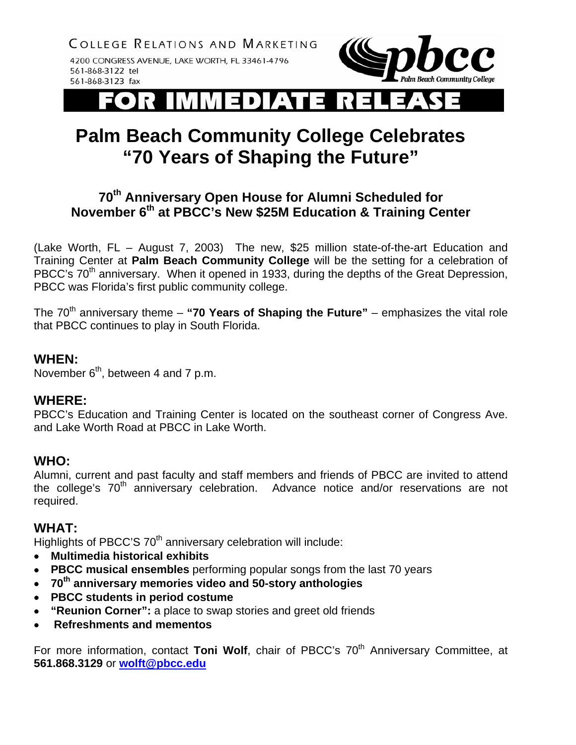COLLEGE RELATIONS AND MARKETING

4200 CONGRESS AVENUE, LAKE WORTH, FL 33461-4796 561-868-3122 tel 561-868-3123 fax



l D

# **Palm Beach Community College Celebrates "70 Years of Shaping the Future"**

## **70th Anniversary Open House for Alumni Scheduled for November 6th at PBCC's New \$25M Education & Training Center**

(Lake Worth, FL – August 7, 2003) The new, \$25 million state-of-the-art Education and Training Center at **Palm Beach Community College** will be the setting for a celebration of PBCC's 70<sup>th</sup> anniversary. When it opened in 1933, during the depths of the Great Depression, PBCC was Florida's first public community college.

The  $70<sup>th</sup>$  anniversary theme – "**70 Years of Shaping the Future**" – emphasizes the vital role that PBCC continues to play in South Florida.

#### **WHEN:**

November  $6<sup>th</sup>$ , between 4 and 7 p.m.

### **WHERE:**

PBCC's Education and Training Center is located on the southeast corner of Congress Ave. and Lake Worth Road at PBCC in Lake Worth.

### **WHO:**

Alumni, current and past faculty and staff members and friends of PBCC are invited to attend the college's 70<sup>th</sup> anniversary celebration. Advance notice and/or reservations are not required.

### **WHAT:**

Highlights of PBCC'S 70<sup>th</sup> anniversary celebration will include:

- • **Multimedia historical exhibits**
- • **PBCC musical ensembles** performing popular songs from the last 70 years
- • **70th anniversary memories video and 50-story anthologies**
- • **PBCC students in period costume**
- • **"Reunion Corner":** a place to swap stories and greet old friends
- **Refreshments and mementos**

For more information, contact Toni Wolf, chair of PBCC's 70<sup>th</sup> Anniversary Committee, at **561.868.3129** or **[wolft@pbcc.edu](mailto:wolft@pbcc.edu)**